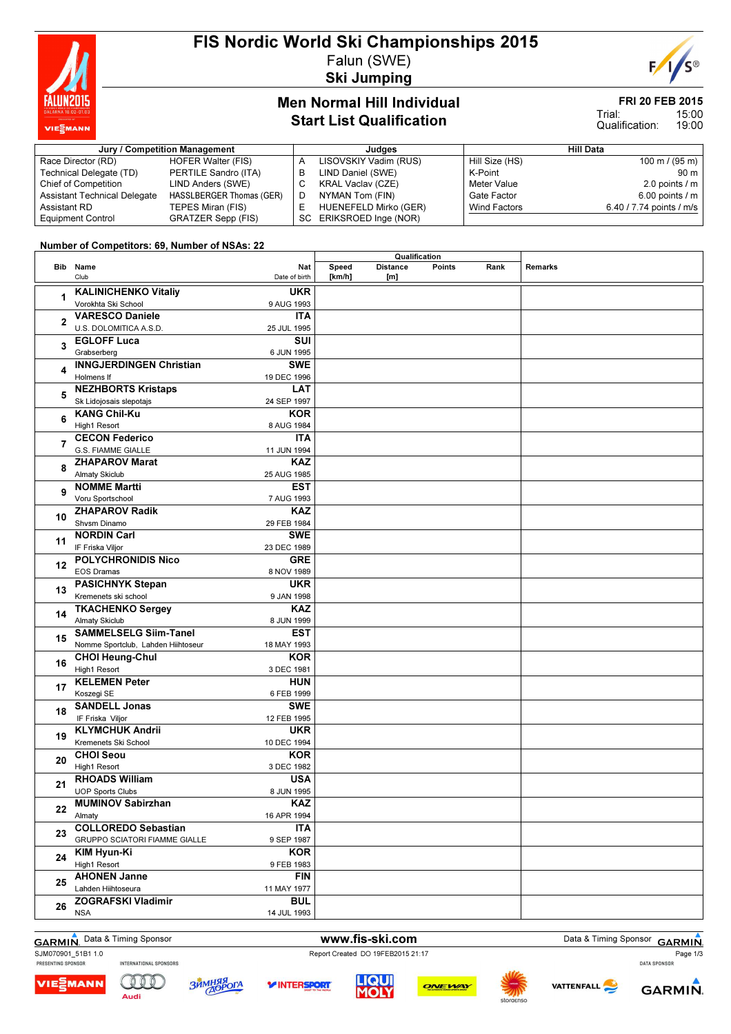

# FIS Nordic World Ski Championships 2015 Falun (SWE)

Ski Jumping



#### Men Normal Hill Individual Start List Qualification

# FRI 20 FEB 2015

15:00 19:00 Trial: Qualification:

| Jury / Competition Management       |                           |  | Judaes                   | Hill Data      |                          |  |
|-------------------------------------|---------------------------|--|--------------------------|----------------|--------------------------|--|
| Race Director (RD)                  | HOFER Walter (FIS)        |  | LISOVSKIY Vadim (RUS)    | Hill Size (HS) | $100 \text{ m}$ / (95 m) |  |
| Technical Delegate (TD)             | PERTILE Sandro (ITA)      |  | LIND Daniel (SWE)        | K-Point        | $90 \text{ m}$           |  |
| <b>Chief of Competition</b>         | LIND Anders (SWE)         |  | <b>KRAL Vaclav (CZE)</b> | Meter Value    | 2.0 points $/m$          |  |
| <b>Assistant Technical Delegate</b> | HASSLBERGER Thomas (GER)  |  | NYMAN Tom (FIN)          | Gate Factor    | 6.00 points $/m$         |  |
| Assistant RD                        | TEPES Miran (FIS)         |  | HUENEFELD Mirko (GER)    | Wind Factors   | 6.40 / 7.74 points / m/s |  |
| <b>Equipment Control</b>            | <b>GRATZER Sepp (FIS)</b> |  | SC ERIKSROED Inge (NOR)  |                |                          |  |

#### Number of Competitors: 69, Number of NSAs: 22

|                |                                      |               | Qualification |                 |               |      |         |
|----------------|--------------------------------------|---------------|---------------|-----------------|---------------|------|---------|
|                | Bib Name                             | Nat           | Speed         | <b>Distance</b> | <b>Points</b> | Rank | Remarks |
|                | Club                                 | Date of birth | [km/h]        | [m]             |               |      |         |
|                | <b>KALINICHENKO Vitaliy</b>          | <b>UKR</b>    |               |                 |               |      |         |
| 1              | Vorokhta Ski School                  | 9 AUG 1993    |               |                 |               |      |         |
|                | <b>VARESCO Daniele</b>               | <b>ITA</b>    |               |                 |               |      |         |
| $\mathbf{2}$   | U.S. DOLOMITICA A.S.D.               | 25 JUL 1995   |               |                 |               |      |         |
|                | <b>EGLOFF Luca</b>                   | SUI           |               |                 |               |      |         |
| 3              |                                      |               |               |                 |               |      |         |
|                | Grabserberg                          | 6 JUN 1995    |               |                 |               |      |         |
| 4              | <b>INNGJERDINGEN Christian</b>       | <b>SWE</b>    |               |                 |               |      |         |
|                | Holmens If                           | 19 DEC 1996   |               |                 |               |      |         |
| 5              | <b>NEZHBORTS Kristaps</b>            | <b>LAT</b>    |               |                 |               |      |         |
|                | Sk Lidojosais slepotajs              | 24 SEP 1997   |               |                 |               |      |         |
| 6              | <b>KANG Chil-Ku</b>                  | <b>KOR</b>    |               |                 |               |      |         |
|                | High1 Resort                         | 8 AUG 1984    |               |                 |               |      |         |
| $\overline{7}$ | <b>CECON Federico</b>                | <b>ITA</b>    |               |                 |               |      |         |
|                | <b>G.S. FIAMME GIALLE</b>            | 11 JUN 1994   |               |                 |               |      |         |
| 8              | <b>ZHAPAROV Marat</b>                | <b>KAZ</b>    |               |                 |               |      |         |
|                | <b>Almaty Skiclub</b>                | 25 AUG 1985   |               |                 |               |      |         |
|                | <b>NOMME Martti</b>                  | <b>EST</b>    |               |                 |               |      |         |
| 9              | Voru Sportschool                     | 7 AUG 1993    |               |                 |               |      |         |
|                | <b>ZHAPAROV Radik</b>                | <b>KAZ</b>    |               |                 |               |      |         |
| 10             | Shvsm Dinamo                         | 29 FEB 1984   |               |                 |               |      |         |
|                | <b>NORDIN Carl</b>                   | <b>SWE</b>    |               |                 |               |      |         |
| 11             | IF Friska Viljor                     | 23 DEC 1989   |               |                 |               |      |         |
|                | <b>POLYCHRONIDIS Nico</b>            | <b>GRE</b>    |               |                 |               |      |         |
| 12             | <b>EOS Dramas</b>                    | 8 NOV 1989    |               |                 |               |      |         |
|                | <b>PASICHNYK Stepan</b>              | <b>UKR</b>    |               |                 |               |      |         |
| 13             | Kremenets ski school                 | 9 JAN 1998    |               |                 |               |      |         |
|                |                                      |               |               |                 |               |      |         |
| 14             | <b>TKACHENKO Sergey</b>              | <b>KAZ</b>    |               |                 |               |      |         |
|                | <b>Almaty Skiclub</b>                | 8 JUN 1999    |               |                 |               |      |         |
| 15             | <b>SAMMELSELG Siim-Tanel</b>         | <b>EST</b>    |               |                 |               |      |         |
|                | Nomme Sportclub, Lahden Hiihtoseur   | 18 MAY 1993   |               |                 |               |      |         |
| 16             | <b>CHOI Heung-Chul</b>               | <b>KOR</b>    |               |                 |               |      |         |
|                | <b>High1 Resort</b>                  | 3 DEC 1981    |               |                 |               |      |         |
| 17             | <b>KELEMEN Peter</b>                 | <b>HUN</b>    |               |                 |               |      |         |
|                | Koszegi SE                           | 6 FEB 1999    |               |                 |               |      |         |
| 18             | <b>SANDELL Jonas</b>                 | <b>SWE</b>    |               |                 |               |      |         |
|                | IF Friska Viljor                     | 12 FEB 1995   |               |                 |               |      |         |
| 19             | <b>KLYMCHUK Andrii</b>               | <b>UKR</b>    |               |                 |               |      |         |
|                | Kremenets Ski School                 | 10 DEC 1994   |               |                 |               |      |         |
| 20             | <b>CHOI Seou</b>                     | <b>KOR</b>    |               |                 |               |      |         |
|                | High1 Resort                         | 3 DEC 1982    |               |                 |               |      |         |
| 21             | <b>RHOADS William</b>                | <b>USA</b>    |               |                 |               |      |         |
|                | <b>UOP Sports Clubs</b>              | 8 JUN 1995    |               |                 |               |      |         |
| 22             | <b>MUMINOV Sabirzhan</b>             | KAZ           |               |                 |               |      |         |
|                | Almaty                               | 16 APR 1994   |               |                 |               |      |         |
|                | <b>COLLOREDO Sebastian</b>           | <b>ITA</b>    |               |                 |               |      |         |
| 23             | <b>GRUPPO SCIATORI FIAMME GIALLE</b> | 9 SEP 1987    |               |                 |               |      |         |
|                | KIM Hyun-Ki                          | <b>KOR</b>    |               |                 |               |      |         |
| 24             | High1 Resort                         | 9 FEB 1983    |               |                 |               |      |         |
|                | <b>AHONEN Janne</b>                  | <b>FIN</b>    |               |                 |               |      |         |
| 25             | Lahden Hiihtoseura                   | 11 MAY 1977   |               |                 |               |      |         |
|                | ZOGRAFSKI Vladimir                   | <b>BUL</b>    |               |                 |               |      |         |
| 26             | <b>NSA</b>                           | 14 JUL 1993   |               |                 |               |      |         |

GARMIN. Data & Timing Sponsor **www.fis-ski.com** Data & Timing Sponsor GARMIN. Page 1/3

SJM070901\_51B1 1.0<br>
PRESENTING SPONSOR MITERNATIONAL SPONSORS<br>
PRESENTING SPONSOR INTERNATIONAL SPONSORS





*V***INTERSPORT** 





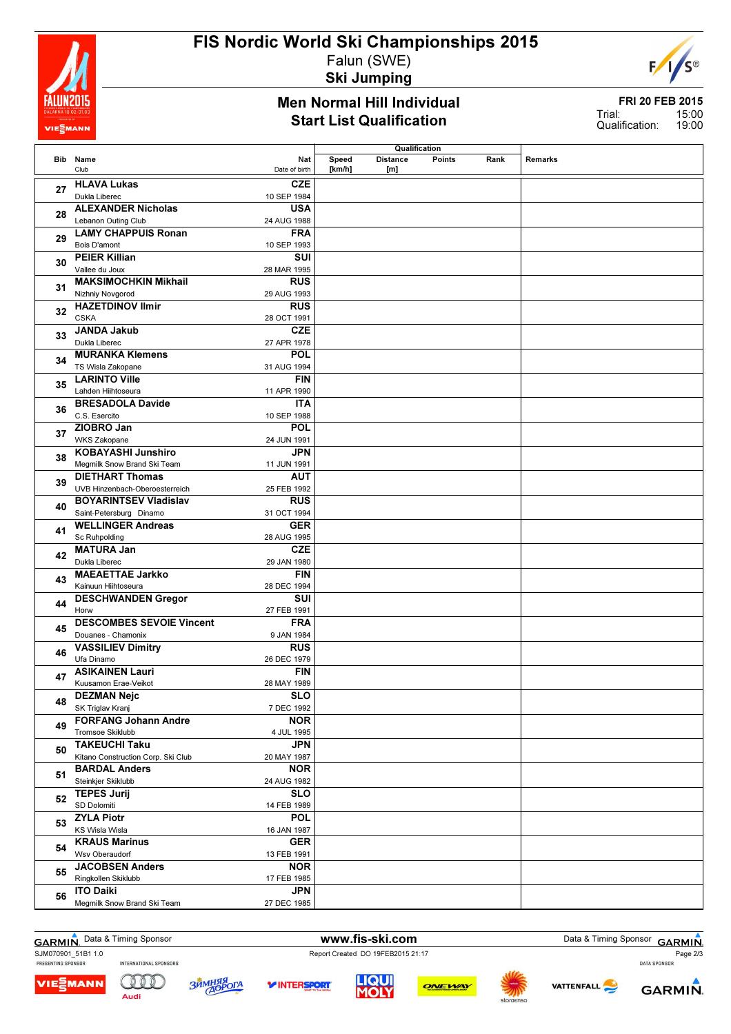

# FIS Nordic World Ski Championships 2015 Falun (SWE)

Ski Jumping

#### Men Normal Hill Individual Start List Qualification



FRI 20 FEB 2015 15:00 19:00 Trial: Qualification:

|     |                                    |               |        | Qualification             |      |         |
|-----|------------------------------------|---------------|--------|---------------------------|------|---------|
| Bib | Name                               | Nat           | Speed  | <b>Distance</b><br>Points | Rank | Remarks |
|     | Club                               | Date of birth | [km/h] | [m]                       |      |         |
|     | <b>HLAVA Lukas</b>                 | <b>CZE</b>    |        |                           |      |         |
| 27  | Dukla Liberec                      | 10 SEP 1984   |        |                           |      |         |
|     |                                    |               |        |                           |      |         |
| 28  | <b>ALEXANDER Nicholas</b>          | <b>USA</b>    |        |                           |      |         |
|     | Lebanon Outing Club                | 24 AUG 1988   |        |                           |      |         |
| 29  | <b>LAMY CHAPPUIS Ronan</b>         | <b>FRA</b>    |        |                           |      |         |
|     | Bois D'amont                       | 10 SEP 1993   |        |                           |      |         |
| 30  | <b>PEIER Killian</b>               | <b>SUI</b>    |        |                           |      |         |
|     | Vallee du Joux                     | 28 MAR 1995   |        |                           |      |         |
|     | <b>MAKSIMOCHKIN Mikhail</b>        | <b>RUS</b>    |        |                           |      |         |
| 31  | Nizhniy Novgorod                   | 29 AUG 1993   |        |                           |      |         |
|     | <b>HAZETDINOV Ilmir</b>            | <b>RUS</b>    |        |                           |      |         |
| 32  | <b>CSKA</b>                        | 28 OCT 1991   |        |                           |      |         |
|     |                                    |               |        |                           |      |         |
| 33  | <b>JANDA Jakub</b>                 | <b>CZE</b>    |        |                           |      |         |
|     | Dukla Liberec                      | 27 APR 1978   |        |                           |      |         |
| 34  | <b>MURANKA Klemens</b>             | POL           |        |                           |      |         |
|     | TS Wisla Zakopane                  | 31 AUG 1994   |        |                           |      |         |
| 35  | <b>LARINTO Ville</b>               | <b>FIN</b>    |        |                           |      |         |
|     | Lahden Hiihtoseura                 | 11 APR 1990   |        |                           |      |         |
|     | <b>BRESADOLA Davide</b>            | <b>ITA</b>    |        |                           |      |         |
| 36  | C.S. Esercito                      | 10 SEP 1988   |        |                           |      |         |
|     | ZIOBRO Jan                         | POL           |        |                           |      |         |
| 37  | <b>WKS Zakopane</b>                | 24 JUN 1991   |        |                           |      |         |
|     | <b>KOBAYASHI Junshiro</b>          | <b>JPN</b>    |        |                           |      |         |
| 38  | Megmilk Snow Brand Ski Team        | 11 JUN 1991   |        |                           |      |         |
|     | <b>DIETHART Thomas</b>             | AUT           |        |                           |      |         |
| 39  | UVB Hinzenbach-Oberoesterreich     | 25 FEB 1992   |        |                           |      |         |
|     |                                    |               |        |                           |      |         |
| 40  | <b>BOYARINTSEV Vladislav</b>       | <b>RUS</b>    |        |                           |      |         |
|     | Saint-Petersburg Dinamo            | 31 OCT 1994   |        |                           |      |         |
| 41  | <b>WELLINGER Andreas</b>           | <b>GER</b>    |        |                           |      |         |
|     | <b>Sc Ruhpolding</b>               | 28 AUG 1995   |        |                           |      |         |
| 42  | <b>MATURA Jan</b>                  | <b>CZE</b>    |        |                           |      |         |
|     | Dukla Liberec                      | 29 JAN 1980   |        |                           |      |         |
| 43  | <b>MAEAETTAE Jarkko</b>            | <b>FIN</b>    |        |                           |      |         |
|     | Kainuun Hiihtoseura                | 28 DEC 1994   |        |                           |      |         |
| 44  | <b>DESCHWANDEN Gregor</b>          | SUI           |        |                           |      |         |
|     | Horw                               | 27 FEB 1991   |        |                           |      |         |
|     | <b>DESCOMBES SEVOIE Vincent</b>    | <b>FRA</b>    |        |                           |      |         |
| 45  | Douanes - Chamonix                 | 9 JAN 1984    |        |                           |      |         |
|     | <b>VASSILIEV Dimitry</b>           | <b>RUS</b>    |        |                           |      |         |
| 46  | Ufa Dinamo                         | 26 DEC 1979   |        |                           |      |         |
|     | <b>ASIKAINEN Lauri</b>             | <b>FIN</b>    |        |                           |      |         |
| 47  | Kuusamon Erae-Veikot               | 28 MAY 1989   |        |                           |      |         |
|     | <b>DEZMAN Nejc</b>                 | <b>SLO</b>    |        |                           |      |         |
| 48  | SK Triglav Kranj                   | 7 DEC 1992    |        |                           |      |         |
|     | <b>FORFANG Johann Andre</b>        | <b>NOR</b>    |        |                           |      |         |
| 49  | Tromsoe Skiklubb                   |               |        |                           |      |         |
|     |                                    | 4 JUL 1995    |        |                           |      |         |
| 50  | <b>TAKEUCHI Taku</b>               | <b>JPN</b>    |        |                           |      |         |
|     | Kitano Construction Corp. Ski Club | 20 MAY 1987   |        |                           |      |         |
| 51  | <b>BARDAL Anders</b>               | <b>NOR</b>    |        |                           |      |         |
|     | Steinkjer Skiklubb                 | 24 AUG 1982   |        |                           |      |         |
| 52  | <b>TEPES Jurij</b>                 | <b>SLO</b>    |        |                           |      |         |
|     | SD Dolomiti                        | 14 FEB 1989   |        |                           |      |         |
| 53  | <b>ZYLA Piotr</b>                  | <b>POL</b>    |        |                           |      |         |
|     | KS Wisla Wisla                     | 16 JAN 1987   |        |                           |      |         |
|     | <b>KRAUS Marinus</b>               | <b>GER</b>    |        |                           |      |         |
| 54  | Wsv Oberaudorf                     | 13 FEB 1991   |        |                           |      |         |
|     | <b>JACOBSEN Anders</b>             | <b>NOR</b>    |        |                           |      |         |
| 55  | Ringkollen Skiklubb                | 17 FEB 1985   |        |                           |      |         |
|     | <b>ITO Daiki</b>                   | <b>JPN</b>    |        |                           |      |         |
| 56  | Megmilk Snow Brand Ski Team        | 27 DEC 1985   |        |                           |      |         |
|     |                                    |               |        |                           |      |         |

SJM070901\_51B1 1.0<br>
PRESENTING SPONSOR MITERNATIONAL SPONSORS<br>
PRESENTING SPONSOR INTERNATIONAL SPONSORS

Audi

GARMIN. Data & Timing Sponsor **www.fis-ski.com** Data & Timing Sponsor GARMIN. Page 2/3<br>Page 2/3







**Y INTERSPORT**